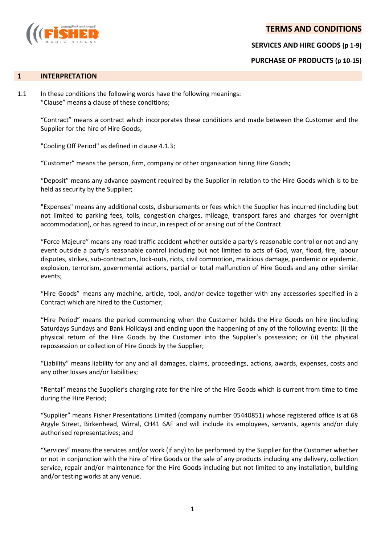# **TERMS AND CONDITIONS**



**SERVICES AND HIRE GOODS (p 1-9)**

**PURCHASE OF PRODUCTS (p 10-15)**

#### **1 INTERPRETATION**

1.1 In these conditions the following words have the following meanings: "Clause" means a clause of these conditions;

> "Contract" means a contract which incorporates these conditions and made between the Customer and the Supplier for the hire of Hire Goods;

"Cooling Off Period" as defined in clause 4.1.3;

"Customer" means the person, firm, company or other organisation hiring Hire Goods;

"Deposit" means any advance payment required by the Supplier in relation to the Hire Goods which is to be held as security by the Supplier;

"Expenses" means any additional costs, disbursements or fees which the Supplier has incurred (including but not limited to parking fees, tolls, congestion charges, mileage, transport fares and charges for overnight accommodation), or has agreed to incur, in respect of or arising out of the Contract.

"Force Majeure" means any road traffic accident whether outside a party's reasonable control or not and any event outside a party's reasonable control including but not limited to acts of God, war, flood, fire, labour disputes, strikes, sub-contractors, lock-outs, riots, civil commotion, malicious damage, pandemic or epidemic, explosion, terrorism, governmental actions, partial or total malfunction of Hire Goods and any other similar events;

"Hire Goods" means any machine, article, tool, and/or device together with any accessories specified in a Contract which are hired to the Customer;

"Hire Period" means the period commencing when the Customer holds the Hire Goods on hire (including Saturdays Sundays and Bank Holidays) and ending upon the happening of any of the following events: (i) the physical return of the Hire Goods by the Customer into the Supplier's possession; or (ii) the physical repossession or collection of Hire Goods by the Supplier;

"Liability" means liability for any and all damages, claims, proceedings, actions, awards, expenses, costs and any other losses and/or liabilities;

"Rental" means the Supplier's charging rate for the hire of the Hire Goods which is current from time to time during the Hire Period;

"Supplier" means Fisher Presentations Limited (company number 05440851) whose registered office is at 68 Argyle Street, Birkenhead, Wirral, CH41 6AF and will include its employees, servants, agents and/or duly authorised representatives; and

"Services" means the services and/or work (if any) to be performed by the Supplier for the Customer whether or not in conjunction with the hire of Hire Goods or the sale of any products including any delivery, collection service, repair and/or maintenance for the Hire Goods including but not limited to any installation, building and/or testing works at any venue.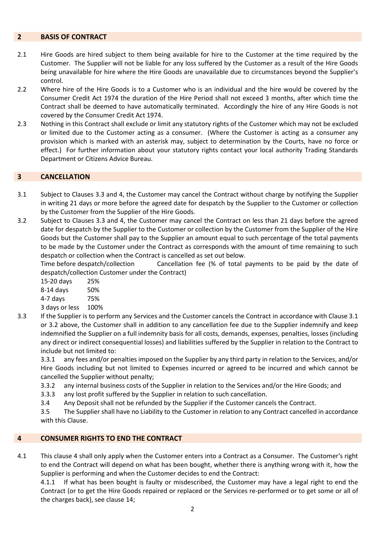#### **2 BASIS OF CONTRACT**

- 2.1 Hire Goods are hired subject to them being available for hire to the Customer at the time required by the Customer. The Supplier will not be liable for any loss suffered by the Customer as a result of the Hire Goods being unavailable for hire where the Hire Goods are unavailable due to circumstances beyond the Supplier's control.
- 2.2 Where hire of the Hire Goods is to a Customer who is an individual and the hire would be covered by the Consumer Credit Act 1974 the duration of the Hire Period shall not exceed 3 months, after which time the Contract shall be deemed to have automatically terminated. Accordingly the hire of any Hire Goods is not covered by the Consumer Credit Act 1974.
- 2.3 Nothing in this Contract shall exclude or limit any statutory rights of the Customer which may not be excluded or limited due to the Customer acting as a consumer. (Where the Customer is acting as a consumer any provision which is marked with an asterisk may, subject to determination by the Courts, have no force or effect.) For further information about your statutory rights contact your local authority Trading Standards Department or Citizens Advice Bureau.

## **3 CANCELLATION**

- 3.1 Subject to Clauses 3.3 and 4, the Customer may cancel the Contract without charge by notifying the Supplier in writing 21 days or more before the agreed date for despatch by the Supplier to the Customer or collection by the Customer from the Supplier of the Hire Goods.
- 3.2 Subject to Clauses 3.3 and 4, the Customer may cancel the Contract on less than 21 days before the agreed date for despatch by the Supplier to the Customer or collection by the Customer from the Supplier of the Hire Goods but the Customer shall pay to the Supplier an amount equal to such percentage of the total payments to be made by the Customer under the Contract as corresponds with the amount of time remaining to such despatch or collection when the Contract is cancelled as set out below.

Time before despatch/collection Cancellation fee (% of total payments to be paid by the date of despatch/collection Customer under the Contract)

15-20 days 25%

8-14 days 50%

- 4-7 days 75%
- 3 days or less 100%
- 3.3 If the Supplier is to perform any Services and the Customer cancels the Contract in accordance with Clause 3.1 or 3.2 above, the Customer shall in addition to any cancellation fee due to the Supplier indemnify and keep indemnified the Supplier on a full indemnity basis for all costs, demands, expenses, penalties, losses (including any direct or indirect consequential losses) and liabilities suffered by the Supplier in relation to the Contract to include but not limited to:

3.3.1 any fees and/or penalties imposed on the Supplier by any third party in relation to the Services, and/or Hire Goods including but not limited to Expenses incurred or agreed to be incurred and which cannot be cancelled the Supplier without penalty;

- 3.3.2 any internal business costs of the Supplier in relation to the Services and/or the Hire Goods; and
- 3.3.3 any lost profit suffered by the Supplier in relation to such cancellation.
- 3.4 Any Deposit shall not be refunded by the Supplier if the Customer cancels the Contract.

3.5 The Supplier shall have no Liability to the Customer in relation to any Contract cancelled in accordance with this Clause.

## **4 CONSUMER RIGHTS TO END THE CONTRACT**

4.1 This clause 4 shall only apply when the Customer enters into a Contract as a Consumer. The Customer's right to end the Contract will depend on what has been bought, whether there is anything wrong with it, how the Supplier is performing and when the Customer decides to end the Contract:

4.1.1 If what has been bought is faulty or misdescribed, the Customer may have a legal right to end the Contract (or to get the Hire Goods repaired or replaced or the Services re-performed or to get some or all of the charges back), see clause 14;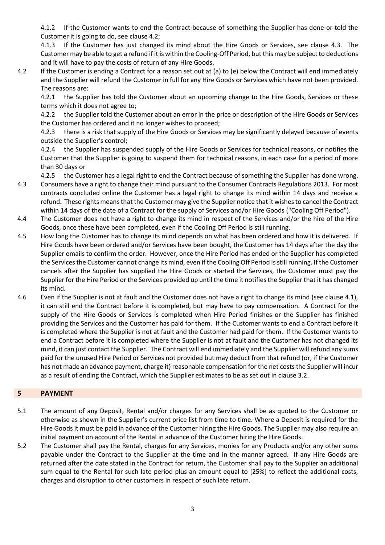4.1.2 If the Customer wants to end the Contract because of something the Supplier has done or told the Customer it is going to do, see clause 4.2;

4.1.3 If the Customer has just changed its mind about the Hire Goods or Services, see clause 4.3. The Customer may be able to get a refund if it is within the Cooling-Off Period, but this may be subject to deductions and it will have to pay the costs of return of any Hire Goods.

4.2 If the Customer is ending a Contract for a reason set out at (a) to (e) below the Contract will end immediately and the Supplier will refund the Customer in full for any Hire Goods or Services which have not been provided. The reasons are:

4.2.1 the Supplier has told the Customer about an upcoming change to the Hire Goods, Services or these terms which it does not agree to;

4.2.2 the Supplier told the Customer about an error in the price or description of the Hire Goods or Services the Customer has ordered and it no longer wishes to proceed;

4.2.3 there is a risk that supply of the Hire Goods or Services may be significantly delayed because of events outside the Supplier's control;

4.2.4 the Supplier has suspended supply of the Hire Goods or Services for technical reasons, or notifies the Customer that the Supplier is going to suspend them for technical reasons, in each case for a period of more than 30 days or

4.2.5 the Customer has a legal right to end the Contract because of something the Supplier has done wrong.

- 4.3 Consumers have a right to change their mind pursuant to the Consumer Contracts Regulations 2013. For most contracts concluded online the Customer has a legal right to change its mind within 14 days and receive a refund. These rights means that the Customer may give the Supplier notice that it wishes to cancel the Contract within 14 days of the date of a Contract for the supply of Services and/or Hire Goods ("Cooling Off Period").
- 4.4 The Customer does not have a right to change its mind in respect of the Services and/or the hire of the Hire Goods, once these have been completed, even if the Cooling Off Period is still running.
- 4.5 How long the Customer has to change its mind depends on what has been ordered and how it is delivered. If Hire Goods have been ordered and/or Services have been bought, the Customer has 14 days after the day the Supplier emails to confirm the order. However, once the Hire Period has ended or the Supplier has completed the Services the Customer cannot change its mind, even if the Cooling Off Period is still running. If the Customer cancels after the Supplier has supplied the Hire Goods or started the Services, the Customer must pay the Supplier for the Hire Period or the Services provided up until the time it notifies the Supplier that it has changed its mind.
- 4.6 Even if the Supplier is not at fault and the Customer does not have a right to change its mind (see clause 4.1), it can still end the Contract before it is completed, but may have to pay compensation. A Contract for the supply of the Hire Goods or Services is completed when Hire Period finishes or the Supplier has finished providing the Services and the Customer has paid for them. If the Customer wants to end a Contract before it is completed where the Supplier is not at fault and the Customer had paid for them. If the Customer wants to end a Contract before it is completed where the Supplier is not at fault and the Customer has not changed its mind, it can just contact the Supplier. The Contract will end immediately and the Supplier will refund any sums paid for the unused Hire Period or Services not provided but may deduct from that refund (or, if the Customer has not made an advance payment, charge it) reasonable compensation for the net costs the Supplier will incur as a result of ending the Contract, which the Supplier estimates to be as set out in clause 3.2.

# **5 PAYMENT**

- 5.1 The amount of any Deposit, Rental and/or charges for any Services shall be as quoted to the Customer or otherwise as shown in the Supplier's current price list from time to time. Where a Deposit is required for the Hire Goods it must be paid in advance of the Customer hiring the Hire Goods. The Supplier may also require an initial payment on account of the Rental in advance of the Customer hiring the Hire Goods.
- 5.2 The Customer shall pay the Rental, charges for any Services, monies for any Products and/or any other sums payable under the Contract to the Supplier at the time and in the manner agreed. If any Hire Goods are returned after the date stated in the Contract for return, the Customer shall pay to the Supplier an additional sum equal to the Rental for such late period plus an amount equal to [25%] to reflect the additional costs, charges and disruption to other customers in respect of such late return.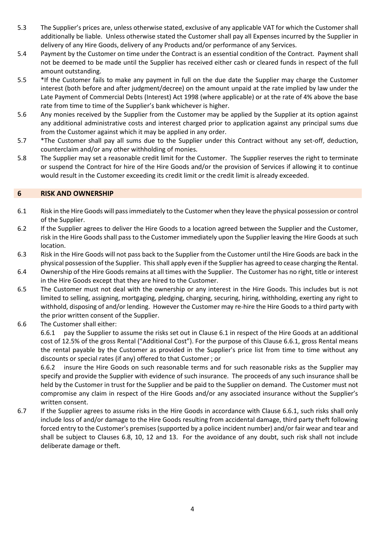- 5.3 The Supplier's prices are, unless otherwise stated, exclusive of any applicable VAT for which the Customer shall additionally be liable. Unless otherwise stated the Customer shall pay all Expenses incurred by the Supplier in delivery of any Hire Goods, delivery of any Products and/or performance of any Services.
- 5.4 Payment by the Customer on time under the Contract is an essential condition of the Contract. Payment shall not be deemed to be made until the Supplier has received either cash or cleared funds in respect of the full amount outstanding.
- 5.5 \*If the Customer fails to make any payment in full on the due date the Supplier may charge the Customer interest (both before and after judgment/decree) on the amount unpaid at the rate implied by law under the Late Payment of Commercial Debts (Interest) Act 1998 (where applicable) or at the rate of 4% above the base rate from time to time of the Supplier's bank whichever is higher.
- 5.6 Any monies received by the Supplier from the Customer may be applied by the Supplier at its option against any additional administrative costs and interest charged prior to application against any principal sums due from the Customer against which it may be applied in any order.
- 5.7 \*The Customer shall pay all sums due to the Supplier under this Contract without any set-off, deduction, counterclaim and/or any other withholding of monies.
- 5.8 The Supplier may set a reasonable credit limit for the Customer. The Supplier reserves the right to terminate or suspend the Contract for hire of the Hire Goods and/or the provision of Services if allowing it to continue would result in the Customer exceeding its credit limit or the credit limit is already exceeded.

## **6 RISK AND OWNERSHIP**

- 6.1 Risk in the Hire Goods will pass immediately to the Customer when they leave the physical possession or control of the Supplier.
- 6.2 If the Supplier agrees to deliver the Hire Goods to a location agreed between the Supplier and the Customer, risk in the Hire Goods shall pass to the Customer immediately upon the Supplier leaving the Hire Goods at such location.
- 6.3 Risk in the Hire Goods will not pass back to the Supplier from the Customer until the Hire Goods are back in the physical possession of the Supplier. This shall apply even if the Supplier has agreed to cease charging the Rental.
- 6.4 Ownership of the Hire Goods remains at all times with the Supplier. The Customer has no right, title or interest in the Hire Goods except that they are hired to the Customer.
- 6.5 The Customer must not deal with the ownership or any interest in the Hire Goods. This includes but is not limited to selling, assigning, mortgaging, pledging, charging, securing, hiring, withholding, exerting any right to withhold, disposing of and/or lending. However the Customer may re-hire the Hire Goods to a third party with the prior written consent of the Supplier.
- 6.6 The Customer shall either:

6.6.1 pay the Supplier to assume the risks set out in Clause 6.1 in respect of the Hire Goods at an additional cost of 12.5% of the gross Rental ("Additional Cost"). For the purpose of this Clause 6.6.1, gross Rental means the rental payable by the Customer as provided in the Supplier's price list from time to time without any discounts or special rates (if any) offered to that Customer ; or

6.6.2 insure the Hire Goods on such reasonable terms and for such reasonable risks as the Supplier may specify and provide the Supplier with evidence of such insurance. The proceeds of any such insurance shall be held by the Customer in trust for the Supplier and be paid to the Supplier on demand. The Customer must not compromise any claim in respect of the Hire Goods and/or any associated insurance without the Supplier's written consent.

6.7 If the Supplier agrees to assume risks in the Hire Goods in accordance with Clause 6.6.1, such risks shall only include loss of and/or damage to the Hire Goods resulting from accidental damage, third party theft following forced entry to the Customer's premises (supported by a police incident number) and/or fair wear and tear and shall be subject to Clauses 6.8, 10, 12 and 13. For the avoidance of any doubt, such risk shall not include deliberate damage or theft.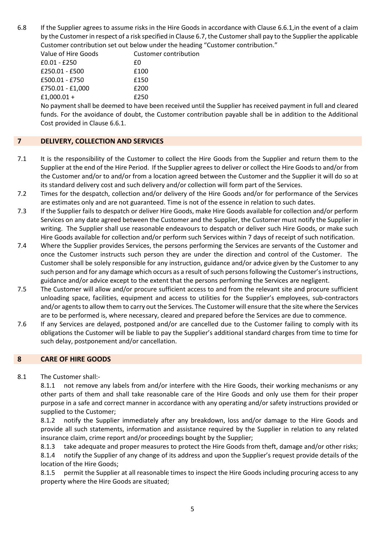6.8 If the Supplier agrees to assume risks in the Hire Goods in accordance with Clause 6.6.1,in the event of a claim by the Customer in respect of a risk specified in Clause 6.7, the Customer shall pay to the Supplier the applicable Customer contribution set out below under the heading "Customer contribution."

| Value of Hire Goods | Customer contribution |
|---------------------|-----------------------|
| £0.01 - £250        | £0                    |
| £250.01 - £500      | £100                  |
| £500.01 - £750      | £150                  |
| £750.01 - £1,000    | £200                  |
| £1,000.01 +         | £250                  |

No payment shall be deemed to have been received until the Supplier has received payment in full and cleared funds. For the avoidance of doubt, the Customer contribution payable shall be in addition to the Additional Cost provided in Clause 6.6.1.

# **7 DELIVERY, COLLECTION AND SERVICES**

- 7.1 It is the responsibility of the Customer to collect the Hire Goods from the Supplier and return them to the Supplier at the end of the Hire Period. If the Supplier agrees to deliver or collect the Hire Goods to and/or from the Customer and/or to and/or from a location agreed between the Customer and the Supplier it will do so at its standard delivery cost and such delivery and/or collection will form part of the Services.
- 7.2 Times for the despatch, collection and/or delivery of the Hire Goods and/or for performance of the Services are estimates only and are not guaranteed. Time is not of the essence in relation to such dates.
- 7.3 If the Supplier fails to despatch or deliver Hire Goods, make Hire Goods available for collection and/or perform Services on any date agreed between the Customer and the Supplier, the Customer must notify the Supplier in writing. The Supplier shall use reasonable endeavours to despatch or deliver such Hire Goods, or make such Hire Goods available for collection and/or perform such Services within 7 days of receipt of such notification.
- 7.4 Where the Supplier provides Services, the persons performing the Services are servants of the Customer and once the Customer instructs such person they are under the direction and control of the Customer. The Customer shall be solely responsible for any instruction, guidance and/or advice given by the Customer to any such person and for any damage which occurs as a result of such persons following the Customer's instructions, guidance and/or advice except to the extent that the persons performing the Services are negligent.
- 7.5 The Customer will allow and/or procure sufficient access to and from the relevant site and procure sufficient unloading space, facilities, equipment and access to utilities for the Supplier's employees, sub-contractors and/or agents to allow them to carry out the Services. The Customer will ensure that the site where the Services are to be performed is, where necessary, cleared and prepared before the Services are due to commence.
- 7.6 If any Services are delayed, postponed and/or are cancelled due to the Customer failing to comply with its obligations the Customer will be liable to pay the Supplier's additional standard charges from time to time for such delay, postponement and/or cancellation.

## **8 CARE OF HIRE GOODS**

#### 8.1 The Customer shall:-

8.1.1 not remove any labels from and/or interfere with the Hire Goods, their working mechanisms or any other parts of them and shall take reasonable care of the Hire Goods and only use them for their proper purpose in a safe and correct manner in accordance with any operating and/or safety instructions provided or supplied to the Customer;

8.1.2 notify the Supplier immediately after any breakdown, loss and/or damage to the Hire Goods and provide all such statements, information and assistance required by the Supplier in relation to any related insurance claim, crime report and/or proceedings bought by the Supplier;

8.1.3 take adequate and proper measures to protect the Hire Goods from theft, damage and/or other risks; 8.1.4 notify the Supplier of any change of its address and upon the Supplier's request provide details of the location of the Hire Goods;

8.1.5 permit the Supplier at all reasonable times to inspect the Hire Goods including procuring access to any property where the Hire Goods are situated;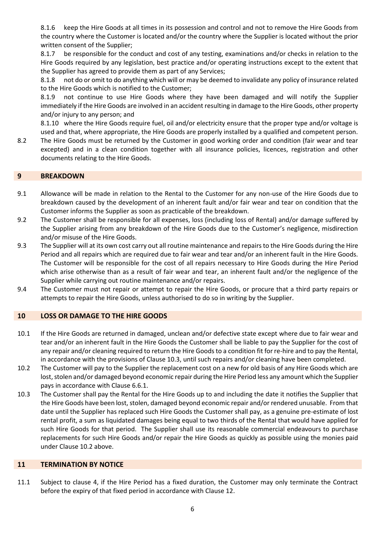8.1.6 keep the Hire Goods at all times in its possession and control and not to remove the Hire Goods from the country where the Customer is located and/or the country where the Supplier is located without the prior written consent of the Supplier;

8.1.7 be responsible for the conduct and cost of any testing, examinations and/or checks in relation to the Hire Goods required by any legislation, best practice and/or operating instructions except to the extent that the Supplier has agreed to provide them as part of any Services;

8.1.8 not do or omit to do anything which will or may be deemed to invalidate any policy of insurance related to the Hire Goods which is notified to the Customer;

8.1.9 not continue to use Hire Goods where they have been damaged and will notify the Supplier immediately if the Hire Goods are involved in an accident resulting in damage to the Hire Goods, other property and/or injury to any person; and

8.1.10 where the Hire Goods require fuel, oil and/or electricity ensure that the proper type and/or voltage is used and that, where appropriate, the Hire Goods are properly installed by a qualified and competent person.

8.2 The Hire Goods must be returned by the Customer in good working order and condition (fair wear and tear excepted) and in a clean condition together with all insurance policies, licences, registration and other documents relating to the Hire Goods.

#### **9 BREAKDOWN**

- 9.1 Allowance will be made in relation to the Rental to the Customer for any non-use of the Hire Goods due to breakdown caused by the development of an inherent fault and/or fair wear and tear on condition that the Customer informs the Supplier as soon as practicable of the breakdown.
- 9.2 The Customer shall be responsible for all expenses, loss (including loss of Rental) and/or damage suffered by the Supplier arising from any breakdown of the Hire Goods due to the Customer's negligence, misdirection and/or misuse of the Hire Goods.
- 9.3 The Supplier will at its own cost carry out all routine maintenance and repairs to the Hire Goods during the Hire Period and all repairs which are required due to fair wear and tear and/or an inherent fault in the Hire Goods. The Customer will be responsible for the cost of all repairs necessary to Hire Goods during the Hire Period which arise otherwise than as a result of fair wear and tear, an inherent fault and/or the negligence of the Supplier while carrying out routine maintenance and/or repairs.
- 9.4 The Customer must not repair or attempt to repair the Hire Goods, or procure that a third party repairs or attempts to repair the Hire Goods, unless authorised to do so in writing by the Supplier.

## **10 LOSS OR DAMAGE TO THE HIRE GOODS**

- 10.1 If the Hire Goods are returned in damaged, unclean and/or defective state except where due to fair wear and tear and/or an inherent fault in the Hire Goods the Customer shall be liable to pay the Supplier for the cost of any repair and/or cleaning required to return the Hire Goods to a condition fit for re-hire and to pay the Rental, in accordance with the provisions of Clause 10.3, until such repairs and/or cleaning have been completed.
- 10.2 The Customer will pay to the Supplier the replacement cost on a new for old basis of any Hire Goods which are lost, stolen and/or damaged beyond economic repair during the Hire Period less any amount which the Supplier pays in accordance with Clause 6.6.1.
- 10.3 The Customer shall pay the Rental for the Hire Goods up to and including the date it notifies the Supplier that the Hire Goods have been lost, stolen, damaged beyond economic repair and/or rendered unusable. From that date until the Supplier has replaced such Hire Goods the Customer shall pay, as a genuine pre-estimate of lost rental profit, a sum as liquidated damages being equal to two thirds of the Rental that would have applied for such Hire Goods for that period. The Supplier shall use its reasonable commercial endeavours to purchase replacements for such Hire Goods and/or repair the Hire Goods as quickly as possible using the monies paid under Clause 10.2 above.

#### **11 TERMINATION BY NOTICE**

11.1 Subject to clause 4, if the Hire Period has a fixed duration, the Customer may only terminate the Contract before the expiry of that fixed period in accordance with Clause 12.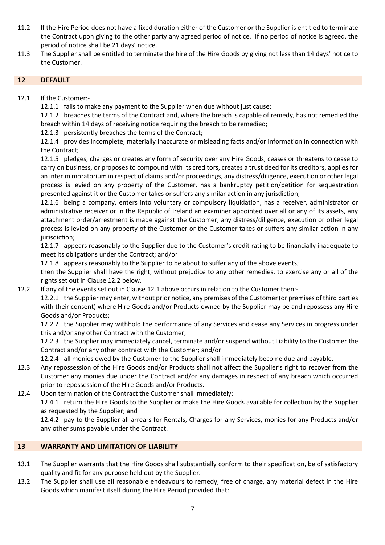- 11.2 If the Hire Period does not have a fixed duration either of the Customer or the Supplier is entitled to terminate the Contract upon giving to the other party any agreed period of notice. If no period of notice is agreed, the period of notice shall be 21 days' notice.
- 11.3 The Supplier shall be entitled to terminate the hire of the Hire Goods by giving not less than 14 days' notice to the Customer.

# **12 DEFAULT**

- 12.1 If the Customer:-
	- 12.1.1 fails to make any payment to the Supplier when due without just cause;

12.1.2 breaches the terms of the Contract and, where the breach is capable of remedy, has not remedied the breach within 14 days of receiving notice requiring the breach to be remedied;

12.1.3 persistently breaches the terms of the Contract;

12.1.4 provides incomplete, materially inaccurate or misleading facts and/or information in connection with the Contract;

12.1.5 pledges, charges or creates any form of security over any Hire Goods, ceases or threatens to cease to carry on business, or proposes to compound with its creditors, creates a trust deed for its creditors, applies for an interim moratorium in respect of claims and/or proceedings, any distress/diligence, execution or other legal process is levied on any property of the Customer, has a bankruptcy petition/petition for sequestration presented against it or the Customer takes or suffers any similar action in any jurisdiction;

12.1.6 being a company, enters into voluntary or compulsory liquidation, has a receiver, administrator or administrative receiver or in the Republic of Ireland an examiner appointed over all or any of its assets, any attachment order/arrestment is made against the Customer, any distress/diligence, execution or other legal process is levied on any property of the Customer or the Customer takes or suffers any similar action in any jurisdiction;

12.1.7 appears reasonably to the Supplier due to the Customer's credit rating to be financially inadequate to meet its obligations under the Contract; and/or

12.1.8 appears reasonably to the Supplier to be about to suffer any of the above events;

then the Supplier shall have the right, without prejudice to any other remedies, to exercise any or all of the rights set out in Clause 12.2 below.

12.2 If any of the events set out in Clause 12.1 above occurs in relation to the Customer then:-

12.2.1 the Supplier may enter, without prior notice, any premises of the Customer (or premises of third parties with their consent) where Hire Goods and/or Products owned by the Supplier may be and repossess any Hire Goods and/or Products;

12.2.2 the Supplier may withhold the performance of any Services and cease any Services in progress under this and/or any other Contract with the Customer;

12.2.3 the Supplier may immediately cancel, terminate and/or suspend without Liability to the Customer the Contract and/or any other contract with the Customer; and/or

12.2.4 all monies owed by the Customer to the Supplier shall immediately become due and payable.

- 12.3 Any repossession of the Hire Goods and/or Products shall not affect the Supplier's right to recover from the Customer any monies due under the Contract and/or any damages in respect of any breach which occurred prior to repossession of the Hire Goods and/or Products.
- 12.4 Upon termination of the Contract the Customer shall immediately:

12.4.1 return the Hire Goods to the Supplier or make the Hire Goods available for collection by the Supplier as requested by the Supplier; and

12.4.2 pay to the Supplier all arrears for Rentals, Charges for any Services, monies for any Products and/or any other sums payable under the Contract.

# **13 WARRANTY AND LIMITATION OF LIABILITY**

- 13.1 The Supplier warrants that the Hire Goods shall substantially conform to their specification, be of satisfactory quality and fit for any purpose held out by the Supplier.
- 13.2 The Supplier shall use all reasonable endeavours to remedy, free of charge, any material defect in the Hire Goods which manifest itself during the Hire Period provided that: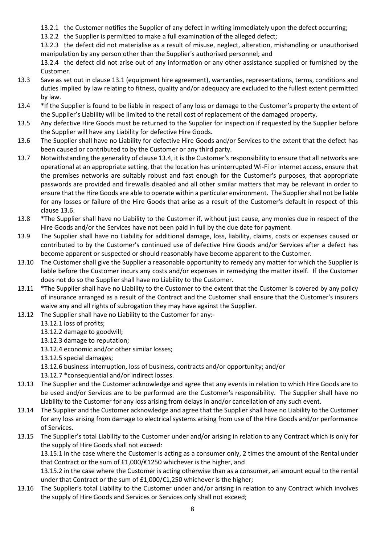- 13.2.1 the Customer notifies the Supplier of any defect in writing immediately upon the defect occurring;
- 13.2.2 the Supplier is permitted to make a full examination of the alleged defect;

13.2.3 the defect did not materialise as a result of misuse, neglect, alteration, mishandling or unauthorised manipulation by any person other than the Supplier's authorised personnel; and

13.2.4 the defect did not arise out of any information or any other assistance supplied or furnished by the Customer.

- 13.3 Save as set out in clause 13.1 (equipment hire agreement), warranties, representations, terms, conditions and duties implied by law relating to fitness, quality and/or adequacy are excluded to the fullest extent permitted by law.
- 13.4 \*If the Supplier is found to be liable in respect of any loss or damage to the Customer's property the extent of the Supplier's Liability will be limited to the retail cost of replacement of the damaged property.
- 13.5 Any defective Hire Goods must be returned to the Supplier for inspection if requested by the Supplier before the Supplier will have any Liability for defective Hire Goods.
- 13.6 The Supplier shall have no Liability for defective Hire Goods and/or Services to the extent that the defect has been caused or contributed to by the Customer or any third party.
- 13.7 Notwithstanding the generality of clause 13.4, it is the Customer's responsibility to ensure that all networks are operational at an appropriate setting, that the location has uninterrupted Wi-Fi or internet access, ensure that the premises networks are suitably robust and fast enough for the Customer's purposes, that appropriate passwords are provided and firewalls disabled and all other similar matters that may be relevant in order to ensure that the Hire Goods are able to operate within a particular environment. The Supplier shall not be liable for any losses or failure of the Hire Goods that arise as a result of the Customer's default in respect of this clause 13.6.
- 13.8 \*The Supplier shall have no Liability to the Customer if, without just cause, any monies due in respect of the Hire Goods and/or the Services have not been paid in full by the due date for payment.
- 13.9 The Supplier shall have no Liability for additional damage, loss, liability, claims, costs or expenses caused or contributed to by the Customer's continued use of defective Hire Goods and/or Services after a defect has become apparent or suspected or should reasonably have become apparent to the Customer.
- 13.10 The Customer shall give the Supplier a reasonable opportunity to remedy any matter for which the Supplier is liable before the Customer incurs any costs and/or expenses in remedying the matter itself. If the Customer does not do so the Supplier shall have no Liability to the Customer.
- 13.11 \*The Supplier shall have no Liability to the Customer to the extent that the Customer is covered by any policy of insurance arranged as a result of the Contract and the Customer shall ensure that the Customer's insurers waive any and all rights of subrogation they may have against the Supplier.
- 13.12 The Supplier shall have no Liability to the Customer for any:-
	- 13.12.1 loss of profits;
	- 13.12.2 damage to goodwill;
	- 13.12.3 damage to reputation;
	- 13.12.4 economic and/or other similar losses;
	- 13.12.5 special damages;
	- 13.12.6 business interruption, loss of business, contracts and/or opportunity; and/or
	- 13.12.7 \*consequential and/or indirect losses.
- 13.13 The Supplier and the Customer acknowledge and agree that any events in relation to which Hire Goods are to be used and/or Services are to be performed are the Customer's responsibility. The Supplier shall have no Liability to the Customer for any loss arising from delays in and/or cancellation of any such event.
- 13.14 The Supplier and the Customer acknowledge and agree that the Supplier shall have no Liability to the Customer for any loss arising from damage to electrical systems arising from use of the Hire Goods and/or performance of Services.
- 13.15 The Supplier's total Liability to the Customer under and/or arising in relation to any Contract which is only for the supply of Hire Goods shall not exceed:

13.15.1 in the case where the Customer is acting as a consumer only, 2 times the amount of the Rental under that Contract or the sum of £1,000/€1250 whichever is the higher, and

13.15.2 in the case where the Customer is acting otherwise than as a consumer, an amount equal to the rental under that Contract or the sum of £1,000/€1,250 whichever is the higher;

13.16 The Supplier's total Liability to the Customer under and/or arising in relation to any Contract which involves the supply of Hire Goods and Services or Services only shall not exceed;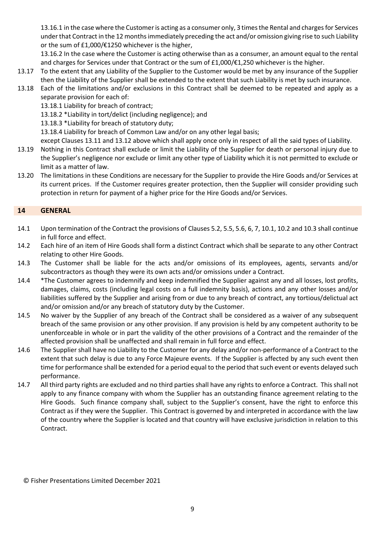13.16.1 in the case where the Customer is acting as a consumer only, 3 times the Rental and charges for Services under that Contract in the 12 months immediately preceding the act and/or omission giving rise to such Liability or the sum of £1,000/€1250 whichever is the higher,

13.16.2 In the case where the Customer is acting otherwise than as a consumer, an amount equal to the rental and charges for Services under that Contract or the sum of £1,000/€1,250 whichever is the higher.

- 13.17 To the extent that any Liability of the Supplier to the Customer would be met by any insurance of the Supplier then the Liability of the Supplier shall be extended to the extent that such Liability is met by such insurance.
- 13.18 Each of the limitations and/or exclusions in this Contract shall be deemed to be repeated and apply as a separate provision for each of:

13.18.1 Liability for breach of contract;

13.18.2 \*Liability in tort/delict (including negligence); and

13.18.3 \*Liability for breach of statutory duty;

13.18.4 Liability for breach of Common Law and/or on any other legal basis;

except Clauses 13.11 and 13.12 above which shall apply once only in respect of all the said types of Liability.

- 13.19 Nothing in this Contract shall exclude or limit the Liability of the Supplier for death or personal injury due to the Supplier's negligence nor exclude or limit any other type of Liability which it is not permitted to exclude or limit as a matter of law.
- 13.20 The limitations in these Conditions are necessary for the Supplier to provide the Hire Goods and/or Services at its current prices. If the Customer requires greater protection, then the Supplier will consider providing such protection in return for payment of a higher price for the Hire Goods and/or Services.

# **14 GENERAL**

- 14.1 Upon termination of the Contract the provisions of Clauses 5.2, 5.5, 5.6, 6, 7, 10.1, 10.2 and 10.3 shall continue in full force and effect.
- 14.2 Each hire of an item of Hire Goods shall form a distinct Contract which shall be separate to any other Contract relating to other Hire Goods.
- 14.3 The Customer shall be liable for the acts and/or omissions of its employees, agents, servants and/or subcontractors as though they were its own acts and/or omissions under a Contract.
- 14.4 \*The Customer agrees to indemnify and keep indemnified the Supplier against any and all losses, lost profits, damages, claims, costs (including legal costs on a full indemnity basis), actions and any other losses and/or liabilities suffered by the Supplier and arising from or due to any breach of contract, any tortious/delictual act and/or omission and/or any breach of statutory duty by the Customer.
- 14.5 No waiver by the Supplier of any breach of the Contract shall be considered as a waiver of any subsequent breach of the same provision or any other provision. If any provision is held by any competent authority to be unenforceable in whole or in part the validity of the other provisions of a Contract and the remainder of the affected provision shall be unaffected and shall remain in full force and effect.
- 14.6 The Supplier shall have no Liability to the Customer for any delay and/or non-performance of a Contract to the extent that such delay is due to any Force Majeure events. If the Supplier is affected by any such event then time for performance shall be extended for a period equal to the period that such event or events delayed such performance.
- 14.7 All third party rights are excluded and no third parties shall have any rights to enforce a Contract. This shall not apply to any finance company with whom the Supplier has an outstanding finance agreement relating to the Hire Goods. Such finance company shall, subject to the Supplier's consent, have the right to enforce this Contract as if they were the Supplier. This Contract is governed by and interpreted in accordance with the law of the country where the Supplier is located and that country will have exclusive jurisdiction in relation to this Contract.

© Fisher Presentations Limited December 2021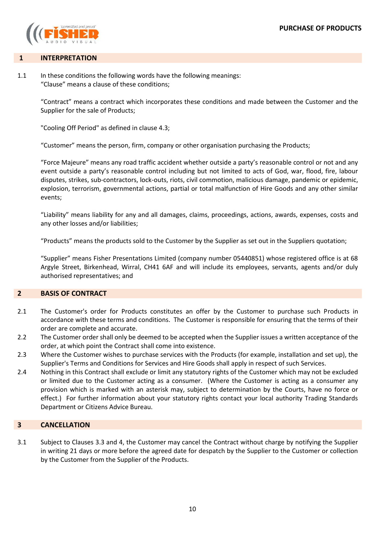

### **1 INTERPRETATION**

1.1 In these conditions the following words have the following meanings: "Clause" means a clause of these conditions;

> "Contract" means a contract which incorporates these conditions and made between the Customer and the Supplier for the sale of Products;

"Cooling Off Period" as defined in clause 4.3;

"Customer" means the person, firm, company or other organisation purchasing the Products;

"Force Majeure" means any road traffic accident whether outside a party's reasonable control or not and any event outside a party's reasonable control including but not limited to acts of God, war, flood, fire, labour disputes, strikes, sub-contractors, lock-outs, riots, civil commotion, malicious damage, pandemic or epidemic, explosion, terrorism, governmental actions, partial or total malfunction of Hire Goods and any other similar events;

"Liability" means liability for any and all damages, claims, proceedings, actions, awards, expenses, costs and any other losses and/or liabilities;

"Products" means the products sold to the Customer by the Supplier as set out in the Suppliers quotation;

"Supplier" means Fisher Presentations Limited (company number 05440851) whose registered office is at 68 Argyle Street, Birkenhead, Wirral, CH41 6AF and will include its employees, servants, agents and/or duly authorised representatives; and

### **2 BASIS OF CONTRACT**

- 2.1 The Customer's order for Products constitutes an offer by the Customer to purchase such Products in accordance with these terms and conditions. The Customer is responsible for ensuring that the terms of their order are complete and accurate.
- 2.2 The Customer order shall only be deemed to be accepted when the Supplier issues a written acceptance of the order, at which point the Contract shall come into existence.
- 2.3 Where the Customer wishes to purchase services with the Products (for example, installation and set up), the Supplier's Terms and Conditions for Services and Hire Goods shall apply in respect of such Services.
- 2.4 Nothing in this Contract shall exclude or limit any statutory rights of the Customer which may not be excluded or limited due to the Customer acting as a consumer. (Where the Customer is acting as a consumer any provision which is marked with an asterisk may, subject to determination by the Courts, have no force or effect.) For further information about your statutory rights contact your local authority Trading Standards Department or Citizens Advice Bureau.

### **3 CANCELLATION**

3.1 Subject to Clauses 3.3 and 4, the Customer may cancel the Contract without charge by notifying the Supplier in writing 21 days or more before the agreed date for despatch by the Supplier to the Customer or collection by the Customer from the Supplier of the Products.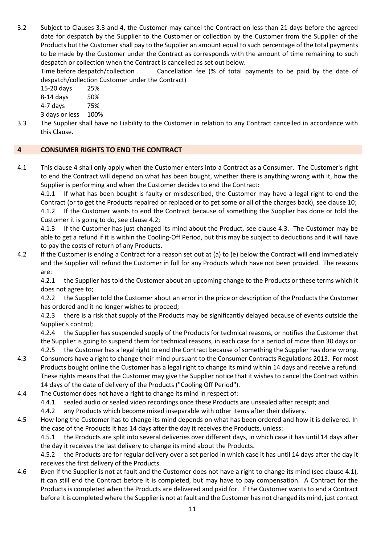3.2 Subject to Clauses 3.3 and 4, the Customer may cancel the Contract on less than 21 days before the agreed date for despatch by the Supplier to the Customer or collection by the Customer from the Supplier of the Products but the Customer shall pay to the Supplier an amount equal to such percentage of the total payments to be made by the Customer under the Contract as corresponds with the amount of time remaining to such despatch or collection when the Contract is cancelled as set out below.

Time before despatch/collection Cancellation fee (% of total payments to be paid by the date of despatch/collection Customer under the Contract)

15-20 days 25%

8-14 days 50%

4-7 days 75%

3 days or less 100%

3.3 The Supplier shall have no Liability to the Customer in relation to any Contract cancelled in accordance with this Clause.

# **4 CONSUMER RIGHTS TO END THE CONTRACT**

4.1 This clause 4 shall only apply when the Customer enters into a Contract as a Consumer. The Customer's right to end the Contract will depend on what has been bought, whether there is anything wrong with it, how the Supplier is performing and when the Customer decides to end the Contract:

4.1.1 If what has been bought is faulty or misdescribed, the Customer may have a legal right to end the Contract (or to get the Products repaired or replaced or to get some or all of the charges back), see clause 10; 4.1.2 If the Customer wants to end the Contract because of something the Supplier has done or told the Customer it is going to do, see clause 4.2;

4.1.3 If the Customer has just changed its mind about the Product, see clause 4.3. The Customer may be able to get a refund if it is within the Cooling-Off Period, but this may be subject to deductions and it will have to pay the costs of return of any Products.

4.2 If the Customer is ending a Contract for a reason set out at (a) to (e) below the Contract will end immediately and the Supplier will refund the Customer in full for any Products which have not been provided. The reasons are:

4.2.1 the Supplier has told the Customer about an upcoming change to the Products or these terms which it does not agree to;

4.2.2 the Supplier told the Customer about an error in the price or description of the Products the Customer has ordered and it no longer wishes to proceed;

4.2.3 there is a risk that supply of the Products may be significantly delayed because of events outside the Supplier's control;

4.2.4 the Supplier has suspended supply of the Products for technical reasons, or notifies the Customer that the Supplier is going to suspend them for technical reasons, in each case for a period of more than 30 days or 4.2.5 the Customer has a legal right to end the Contract because of something the Supplier has done wrong.

- 4.3 Consumers have a right to change their mind pursuant to the Consumer Contracts Regulations 2013. For most Products bought online the Customer has a legal right to change its mind within 14 days and receive a refund. These rights means that the Customer may give the Supplier notice that it wishes to cancel the Contract within 14 days of the date of delivery of the Products ("Cooling Off Period").
- 4.4 The Customer does not have a right to change its mind in respect of:
	- 4.4.1 sealed audio or sealed video recordings once these Products are unsealed after receipt; and
	- 4.4.2 any Products which become mixed inseparable with other items after their delivery.

4.5 How long the Customer has to change its mind depends on what has been ordered and how it is delivered. In the case of the Products it has 14 days after the day it receives the Products, unless:

4.5.1 the Products are split into several deliveries over different days, in which case it has until 14 days after the day it receives the last delivery to change its mind about the Products.

4.5.2 the Products are for regular delivery over a set period in which case it has until 14 days after the day it receives the first delivery of the Products.

4.6 Even if the Supplier is not at fault and the Customer does not have a right to change its mind (see clause 4.1), it can still end the Contract before it is completed, but may have to pay compensation. A Contract for the Products is completed when the Products are delivered and paid for. If the Customer wants to end a Contract before it is completed where the Supplier is not at fault and the Customer has not changed its mind, just contact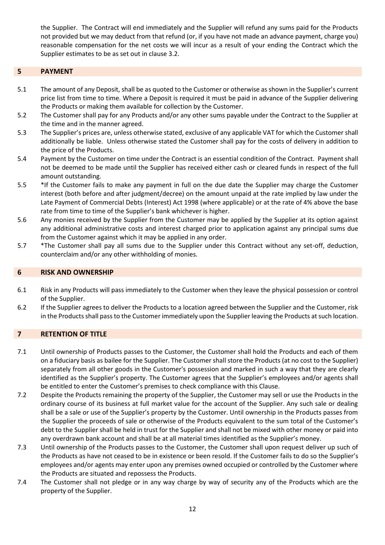the Supplier. The Contract will end immediately and the Supplier will refund any sums paid for the Products not provided but we may deduct from that refund (or, if you have not made an advance payment, charge you) reasonable compensation for the net costs we will incur as a result of your ending the Contract which the Supplier estimates to be as set out in clause 3.2.

## **5 PAYMENT**

- 5.1 The amount of any Deposit, shall be as quoted to the Customer or otherwise as shown in the Supplier's current price list from time to time. Where a Deposit is required it must be paid in advance of the Supplier delivering the Products or making them available for collection by the Customer.
- 5.2 The Customer shall pay for any Products and/or any other sums payable under the Contract to the Supplier at the time and in the manner agreed.
- 5.3 The Supplier's prices are, unless otherwise stated, exclusive of any applicable VAT for which the Customer shall additionally be liable. Unless otherwise stated the Customer shall pay for the costs of delivery in addition to the price of the Products.
- 5.4 Payment by the Customer on time under the Contract is an essential condition of the Contract. Payment shall not be deemed to be made until the Supplier has received either cash or cleared funds in respect of the full amount outstanding.
- 5.5 \*If the Customer fails to make any payment in full on the due date the Supplier may charge the Customer interest (both before and after judgment/decree) on the amount unpaid at the rate implied by law under the Late Payment of Commercial Debts (Interest) Act 1998 (where applicable) or at the rate of 4% above the base rate from time to time of the Supplier's bank whichever is higher.
- 5.6 Any monies received by the Supplier from the Customer may be applied by the Supplier at its option against any additional administrative costs and interest charged prior to application against any principal sums due from the Customer against which it may be applied in any order.
- 5.7 \*The Customer shall pay all sums due to the Supplier under this Contract without any set-off, deduction, counterclaim and/or any other withholding of monies.

#### **6 RISK AND OWNERSHIP**

- 6.1 Risk in any Products will pass immediately to the Customer when they leave the physical possession or control of the Supplier.
- 6.2 If the Supplier agrees to deliver the Products to a location agreed between the Supplier and the Customer, risk in the Products shall pass to the Customer immediately upon the Supplier leaving the Products at such location.

#### **7 RETENTION OF TITLE**

- 7.1 Until ownership of Products passes to the Customer, the Customer shall hold the Products and each of them on a fiduciary basis as bailee for the Supplier. The Customer shall store the Products (at no cost to the Supplier) separately from all other goods in the Customer's possession and marked in such a way that they are clearly identified as the Supplier's property. The Customer agrees that the Supplier's employees and/or agents shall be entitled to enter the Customer's premises to check compliance with this Clause.
- 7.2 Despite the Products remaining the property of the Supplier, the Customer may sell or use the Products in the ordinary course of its business at full market value for the account of the Supplier. Any such sale or dealing shall be a sale or use of the Supplier's property by the Customer. Until ownership in the Products passes from the Supplier the proceeds of sale or otherwise of the Products equivalent to the sum total of the Customer's debt to the Supplier shall be held in trust for the Supplier and shall not be mixed with other money or paid into any overdrawn bank account and shall be at all material times identified as the Supplier's money.
- 7.3 Until ownership of the Products passes to the Customer, the Customer shall upon request deliver up such of the Products as have not ceased to be in existence or been resold. If the Customer fails to do so the Supplier's employees and/or agents may enter upon any premises owned occupied or controlled by the Customer where the Products are situated and repossess the Products.
- 7.4 The Customer shall not pledge or in any way charge by way of security any of the Products which are the property of the Supplier.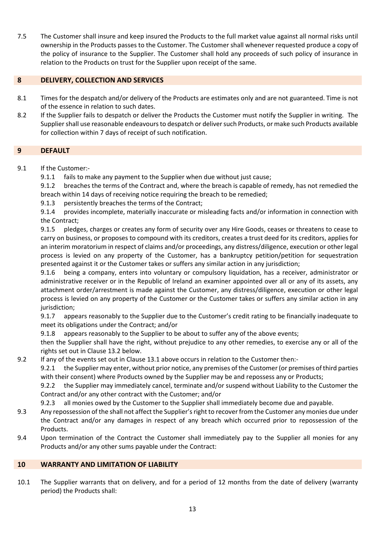7.5 The Customer shall insure and keep insured the Products to the full market value against all normal risks until ownership in the Products passes to the Customer. The Customer shall whenever requested produce a copy of the policy of insurance to the Supplier. The Customer shall hold any proceeds of such policy of insurance in relation to the Products on trust for the Supplier upon receipt of the same.

# **8 DELIVERY, COLLECTION AND SERVICES**

- 8.1 Times for the despatch and/or delivery of the Products are estimates only and are not guaranteed. Time is not of the essence in relation to such dates.
- 8.2 If the Supplier fails to despatch or deliver the Products the Customer must notify the Supplier in writing. The Supplier shall use reasonable endeavours to despatch or deliver such Products, or make such Products available for collection within 7 days of receipt of such notification.

### **9 DEFAULT**

9.1 If the Customer:-

9.1.1 fails to make any payment to the Supplier when due without just cause;

9.1.2 breaches the terms of the Contract and, where the breach is capable of remedy, has not remedied the breach within 14 days of receiving notice requiring the breach to be remedied;

9.1.3 persistently breaches the terms of the Contract;

9.1.4 provides incomplete, materially inaccurate or misleading facts and/or information in connection with the Contract;

9.1.5 pledges, charges or creates any form of security over any Hire Goods, ceases or threatens to cease to carry on business, or proposes to compound with its creditors, creates a trust deed for its creditors, applies for an interim moratorium in respect of claims and/or proceedings, any distress/diligence, execution or other legal process is levied on any property of the Customer, has a bankruptcy petition/petition for sequestration presented against it or the Customer takes or suffers any similar action in any jurisdiction;

9.1.6 being a company, enters into voluntary or compulsory liquidation, has a receiver, administrator or administrative receiver or in the Republic of Ireland an examiner appointed over all or any of its assets, any attachment order/arrestment is made against the Customer, any distress/diligence, execution or other legal process is levied on any property of the Customer or the Customer takes or suffers any similar action in any jurisdiction;

9.1.7 appears reasonably to the Supplier due to the Customer's credit rating to be financially inadequate to meet its obligations under the Contract; and/or

9.1.8 appears reasonably to the Supplier to be about to suffer any of the above events;

then the Supplier shall have the right, without prejudice to any other remedies, to exercise any or all of the rights set out in Clause 13.2 below.

9.2 If any of the events set out in Clause 13.1 above occurs in relation to the Customer then:-

9.2.1 the Supplier may enter, without prior notice, any premises of the Customer (or premises of third parties with their consent) where Products owned by the Supplier may be and repossess any or Products;

9.2.2 the Supplier may immediately cancel, terminate and/or suspend without Liability to the Customer the Contract and/or any other contract with the Customer; and/or

9.2.3 all monies owed by the Customer to the Supplier shall immediately become due and payable.

- 9.3 Any repossession of the shall not affect the Supplier's right to recover from the Customer any monies due under the Contract and/or any damages in respect of any breach which occurred prior to repossession of the Products.
- 9.4 Upon termination of the Contract the Customer shall immediately pay to the Supplier all monies for any Products and/or any other sums payable under the Contract:

## **10 WARRANTY AND LIMITATION OF LIABILITY**

10.1 The Supplier warrants that on delivery, and for a period of 12 months from the date of delivery (warranty period) the Products shall: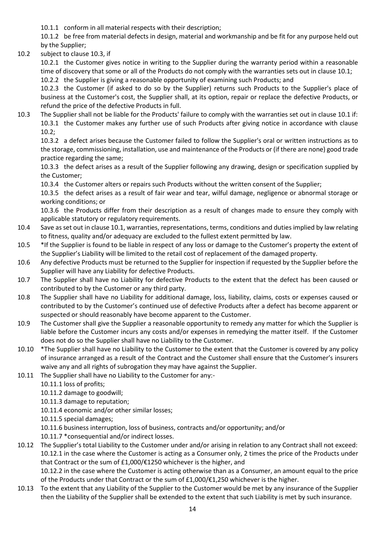10.1.1 conform in all material respects with their description;

10.1.2 be free from material defects in design, material and workmanship and be fit for any purpose held out by the Supplier;

10.2 subject to clause 10.3, if

10.2.1 the Customer gives notice in writing to the Supplier during the warranty period within a reasonable time of discovery that some or all of the Products do not comply with the warranties sets out in clause 10.1;

10.2.2 the Supplier is giving a reasonable opportunity of examining such Products; and 10.2.3 the Customer (if asked to do so by the Supplier) returns such Products to the Supplier's place of business at the Customer's cost, the Supplier shall, at its option, repair or replace the defective Products, or refund the price of the defective Products in full.

10.3 The Supplier shall not be liable for the Products' failure to comply with the warranties set out in clause 10.1 if: 10.3.1 the Customer makes any further use of such Products after giving notice in accordance with clause 10.2;

10.3.2 a defect arises because the Customer failed to follow the Supplier's oral or written instructions as to the storage, commissioning, installation, use and maintenance of the Products or (if there are none) good trade practice regarding the same;

10.3.3 the defect arises as a result of the Supplier following any drawing, design or specification supplied by the Customer;

10.3.4 the Customer alters or repairs such Products without the written consent of the Supplier;

10.3.5 the defect arises as a result of fair wear and tear, wilful damage, negligence or abnormal storage or working conditions; or

10.3.6 the Products differ from their description as a result of changes made to ensure they comply with applicable statutory or regulatory requirements.

- 10.4 Save as set out in clause 10.1, warranties, representations, terms, conditions and duties implied by law relating to fitness, quality and/or adequacy are excluded to the fullest extent permitted by law.
- 10.5 \*If the Supplier is found to be liable in respect of any loss or damage to the Customer's property the extent of the Supplier's Liability will be limited to the retail cost of replacement of the damaged property.
- 10.6 Any defective Products must be returned to the Supplier for inspection if requested by the Supplier before the Supplier will have any Liability for defective Products.
- 10.7 The Supplier shall have no Liability for defective Products to the extent that the defect has been caused or contributed to by the Customer or any third party.
- 10.8 The Supplier shall have no Liability for additional damage, loss, liability, claims, costs or expenses caused or contributed to by the Customer's continued use of defective Products after a defect has become apparent or suspected or should reasonably have become apparent to the Customer.
- 10.9 The Customer shall give the Supplier a reasonable opportunity to remedy any matter for which the Supplier is liable before the Customer incurs any costs and/or expenses in remedying the matter itself. If the Customer does not do so the Supplier shall have no Liability to the Customer.
- 10.10 \*The Supplier shall have no Liability to the Customer to the extent that the Customer is covered by any policy of insurance arranged as a result of the Contract and the Customer shall ensure that the Customer's insurers waive any and all rights of subrogation they may have against the Supplier.
- 10.11 The Supplier shall have no Liability to the Customer for any:-
	- 10.11.1 loss of profits;

10.11.2 damage to goodwill;

- 10.11.3 damage to reputation;
- 10.11.4 economic and/or other similar losses;
- 10.11.5 special damages;

10.11.6 business interruption, loss of business, contracts and/or opportunity; and/or

- 10.11.7 \*consequential and/or indirect losses.
- 10.12 The Supplier's total Liability to the Customer under and/or arising in relation to any Contract shall not exceed: 10.12.1 in the case where the Customer is acting as a Consumer only, 2 times the price of the Products under that Contract or the sum of £1,000/€1250 whichever is the higher, and

10.12.2 in the case where the Customer is acting otherwise than as a Consumer, an amount equal to the price of the Products under that Contract or the sum of £1,000/€1,250 whichever is the higher.

10.13 To the extent that any Liability of the Supplier to the Customer would be met by any insurance of the Supplier then the Liability of the Supplier shall be extended to the extent that such Liability is met by such insurance.